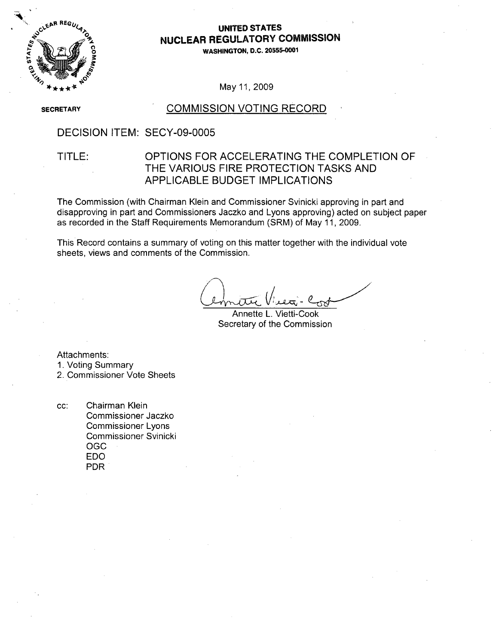

## **0o** UNITED **STATES NUCLEAR** REGULATORY **COMMISSION**

**0 WASHINGTON, D.C.** 20555-0001

May 11,2009

**SECRETARY** 

### COMMISSION VOTING RECORD

### DECISION ITEM: SECY-09-0005

### TITLE: OPTIONS FOR ACCELERATING THE COMPLETION OF THE VARIOUS FIRE PROTECTION TASKS AND APPLICABLE BUDGET IMPLICATIONS

The Commission (with Chairman Klein and Commissioner Svinicki approving in part and disapproving in part and Commissioners Jaczko and Lyons approving) acted on subject paper as recorded in the Staff Requirements Memorandum (SRM) of May 11, 2009.

This Record contains a summary of voting on this matter together with the individual vote sheets, views and comments of the Commission.

Annette L. Vietti-Cook Secretary of the Commission

Attachments:

1. Voting Summary

2. Commissioner Vote Sheets

cc: Chairman Klein Commissioner Jaczko Commissioner Lyons Commissioner Svinicki OGC EDO PDR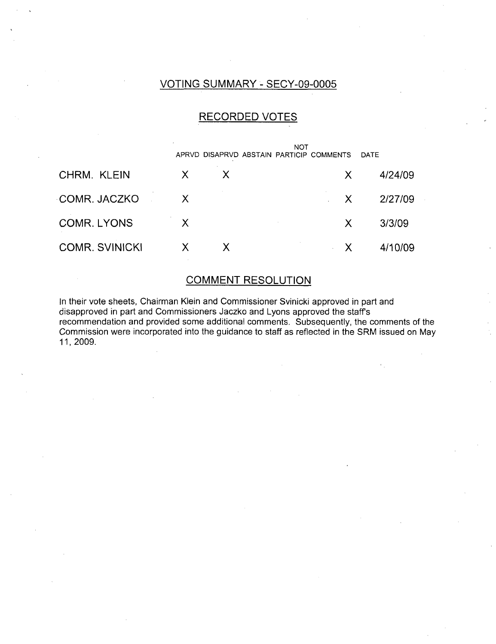## VOTING SUMMARY - SECY-09-0005

## RECORDED VOTES

|                       | NOT<br>APRVD DISAPRVD ABSTAIN PARTICIP COMMENTS<br>DATE |    |  |    |         |
|-----------------------|---------------------------------------------------------|----|--|----|---------|
| CHRM. KLEIN           | X                                                       |    |  | X. | 4/24/09 |
| COMR. JACZKO          | X                                                       |    |  | X. | 2/27/09 |
| <b>COMR. LYONS</b>    | $\sf X$                                                 |    |  | X  | 3/3/09  |
| <b>COMR. SVINICKI</b> | $\mathsf{X}$                                            | X. |  | X  | 4/10/09 |

## COMMENT RESOLUTION

In their vote sheets, Chairman Klein and Commissioner Svinicki approved in part and disapproved in part and Commissioners Jaczko and Lyons approved the staffs recommendation and provided some additional comments. Subsequently, the comments of the Commission were incorporated into the guidance to staff as reflected in the SRM issued on May 11,2009.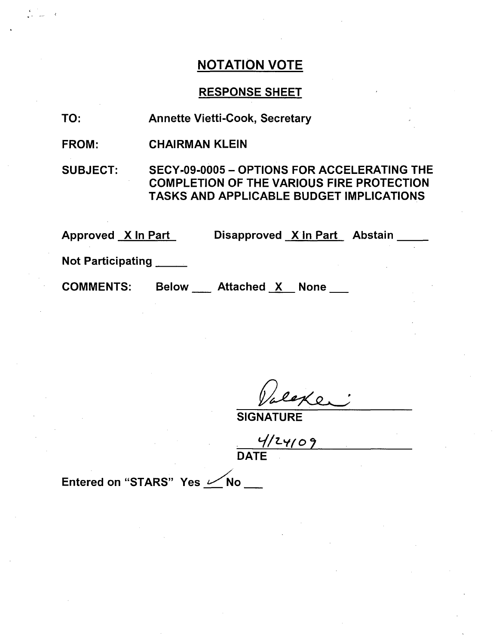## RESPONSE SHEET

- TO: Annette Vietti-Cook, Secretary
- FROM: CHAIRMAN KLEIN

SUBJECT: SECY-09-0005 - OPTIONS FOR ACCELERATING THE COMPLETION OF THE VARIOUS FIRE PROTECTION TASKS AND APPLICABLE BUDGET IMPLICATIONS

Approved <u>X In Part</u> Disapproved <u>X In Part</u> Abstair

Not Participating \_\_\_\_\_

**COMMENTS:** 

Below \_\_\_ Attached X None \_\_

Ke

SIGNATURE

 $4/24/09$ 

Entered on "STARS" Yes **Allection**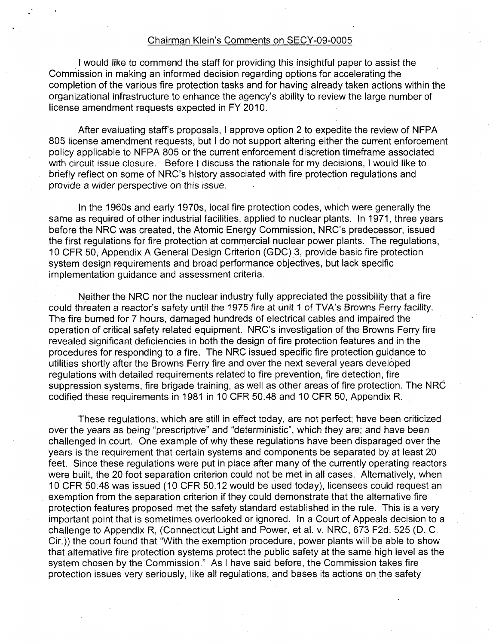#### Chairman Klein's Comments on SECY-09-0005

I would like to commend the staff for providing this insightful paper to assist the Commission in making an informed decision regarding options for accelerating the completion of the various fire protection tasks and for having already taken actions within the organizational infrastructure to enhance the agency's ability to review the large number of license amendment requests expected in FY 2010.

After evaluating staff's proposals, I approve option 2 to expedite the review of NFPA 805 license amendment requests, but I do not support altering either the current enforcement policy applicable to NFPA 805 or the current enforcement discretion timeframe associated with circuit issue closure. Before I discuss the rationale for my decisions, I would like to briefly reflect on some of NRC's history associated with fire protection regulations and provide a wider perspective on this issue.

In the 1960s and early 1970s, local fire protection codes, which were generally the same as required of other industrial facilities, applied to nuclear plants. In 1971, three years before the NRC was created, the Atomic Energy Commission, NRC's predecessor, issued the first regulations for fire protection at commercial nuclear power plants. The regulations, **10** CFR 50, Appendix A General Design Criterion (GDC) 3, provide basic fire protection system design requirements and broad performance objectives, but lack specific implementation guidance and assessment criteria.

Neither the NRC nor the nuclear industry fully appreciated the possibility that a fire could threaten a reactor's safety until the 1975 fire at unit **1** of TVA's Browns Ferry facility. The fire burned for 7 hours, damaged hundreds of electrical cables and impaired the operation of critical safety related equipment. NRC's investigation of the Browns Ferry fire revealed significant deficiencies in both the design of fire protection features and in the procedures for responding to a fire. The NRC issued specific fire protection guidance to utilities shortly after the Browns Ferry fire and over the next several years developed regulations with detailed requirements related to fire prevention, fire detection, fire suppression systems, fire brigade training, as well as other areas of fire protection. The NRC codified these requirements in 1981 in 10 CFR 50.48 and 10 CFR 50, Appendix R.

These regulations, which are still in effect today, are not perfect; have been criticized over the years as being "prescriptive" and "deterministic", which they are; and have been challenged in court. One example of why these regulations have been disparaged over the years is the requirement that certain systems and components be separated by at least 20 feet. Since these regulations were put in place after many of the currently operating reactors were built, the 20 foot separation criterion could not be met in all cases. Alternatively, when 10 CFR 50.48 was issued (10 CFR 50.12 would be used today), licensees could request an exemption from the separation criterion if they could demonstrate that the alternative fire protection features proposed met the safety standard established in the rule. This is a very important point that is sometimes overlooked or ignored. In a Court of Appeals decision to a challenge to Appendix R, (Connecticut Light and Power, et al. v. NRC, 673 F2d. 525 (D. C. Cir.)) the court found that "With the exemption procedure, power plants will be able to show that alternative fire protection systems protect the public safety at the same high level as the system chosen by the Commission." As I have said before, the Commission takes fire protection issues very seriously, like all regulations, and bases its actions on the safety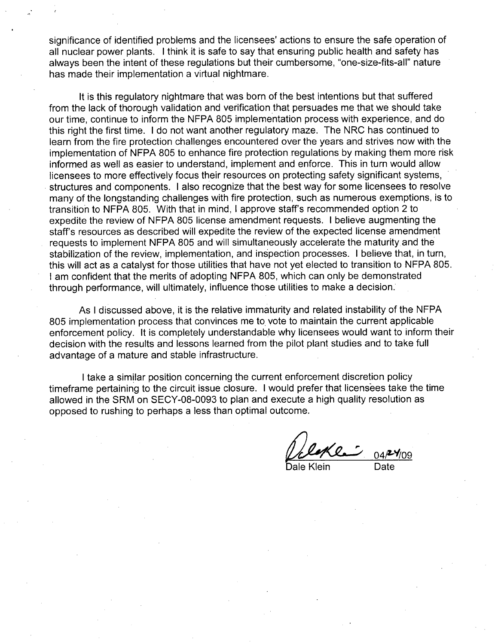significance of identified problems and the licensees' actions to ensure the safe operation of all nuclear power plants. I think it is safe to say that ensuring public health and safety has always been the intent of these regulations but their cumbersome, "one-size-fits-all" nature has made their implementation a virtual nightmare.

It is this regulatory nightmare that was born of the best intentions but that suffered from the lack of thorough validation and verification that persuades me that we should take our time, continue to inform the NFPA 805 implementation process with experience, and do this right the first time. I do not want another regulatory maze. The NRC has continued to learn from the fire protection challenges encountered over the years and strives now with the implementation of NFPA 805 to enhance fire protection regulations by making them more risk informed as well as easier to understand, implement and enforce. This in turn would allow licensees to more effectively focus their resources on protecting safety significant systems, structures and components. I also recognize that the best way for some licensees to resolve many of the longstanding challenges with fire protection, such as numerous exemptions, is to transition to NFPA 805. With that in mind, I approve staff's recommended option 2 to expedite the review of NFPA 805 license amendment requests. I believe augmenting the staff's resources as described will expedite the review of the expected license amendment requests to implement NFPA 805 and will simultaneously accelerate the maturity and the stabilization of the review, implementation, and inspection processes. I believe that, in turn, this will act as a catalyst for those utilities that have not yet elected to transition to NFPA 805. I am confident that the merits of adopting NFPA 805, which can only be demonstrated through performance, will ultimately, influence those utilities to make a decision.

As I discussed above, it is the relative immaturity and related instability of the NFPA 805 implementation process that convinces me to vote to maintain the current applicable enforcement policy. It is completely understandable why licensees would want to inform their decision with the results and lessons learned from the pilot plant studies and to take full advantage of a mature and stable infrastructure.

I take a similar position concerning the current enforcement discretion policy timeframe pertaining to the circuit issue closure. I would prefer that licensees take the time allowed in the SRM on SECY-08-0093 to plan and execute a high quality resolution as opposed to rushing to perhaps a less than optimal outcome.

*Die 104<sup>-</sup> 109*<br>Dale Klein Date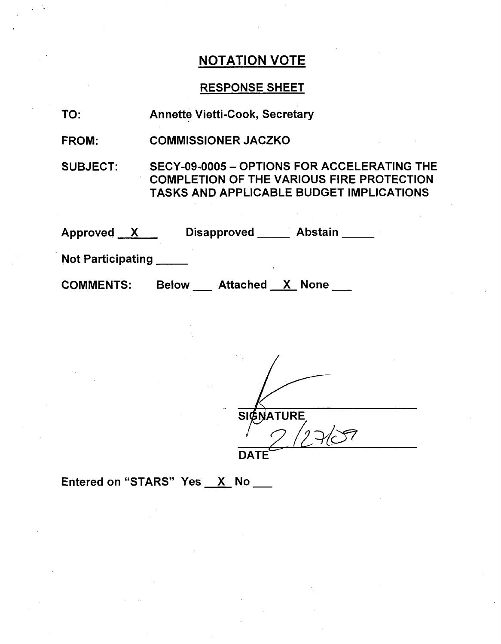## RESPONSE SHEET

| TO:          | <b>Annette Vietti-Cook, Secretary</b> |
|--------------|---------------------------------------|
| <b>FROM:</b> | <b>COMMISSIONER JACZKO</b>            |

SUBJECT: SECY-09-0005 - OPTIONS FOR ACCELERATING THE COMPLETION OF THE VARIOUS FIRE PROTECTION TASKS AND APPLICABLE BUDGET IMPLICATIONS

| Approved<br>$\mathbf{X}$ | <b>Abstain</b><br><b>Disapproved</b><br>$\mathbf{r}$ . |  |
|--------------------------|--------------------------------------------------------|--|
| <b>Not Participating</b> |                                                        |  |
| <b>COMMENTS:</b>         | <b>Attached X None</b><br><b>Below</b>                 |  |

**SIGNATURE** DATE

Entered on "STARS" Yes  $X$  No  $Y$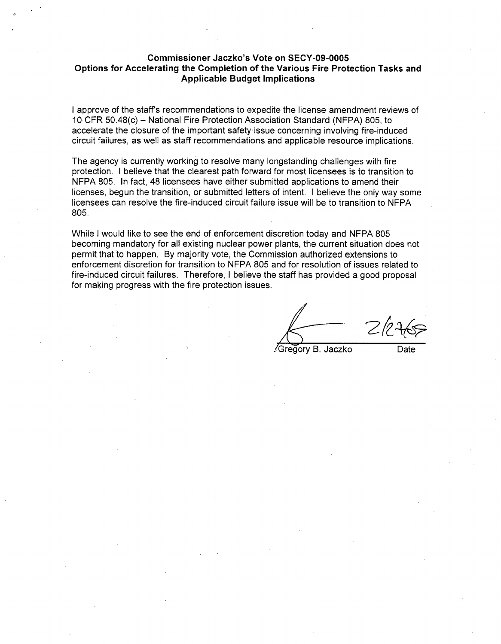#### Commissioner Jaczko's Vote on **SECY-09-0005** Options for Accelerating the Completion of the Various Fire Protection Tasks and Applicable Budget Implications

I approve of the staff's recommendations to expedite the license amendment reviews of 10 CFR 50.48(c) - National Fire Protection Association Standard (NFPA) 805, to accelerate the closure of the important safety issue concerning involving fire-induced circuit failures, as well as staff recommendations and applicable resource implications.

The agency is currently working to resolve many longstanding challenges with fire protection. I believe that the clearest path forward for most licensees is to transition to NFPA 805. In fact, 48 licensees have either submitted applications to amend their licenses, begun the transition, or submitted letters of intent. I believe the only way some licensees can resolve the fire-induced circuit failure issue will be to transition to NFPA 805.

While I would like to see the end of enforcement discretion today and NFPA 805 becoming mandatory for all existing nuclear power plants, the current situation does not permit that to happen. By majority vote, the Commission authorized extensions to enforcement discretion for transition to NFPA 805 and for resolution of issues related to fire-induced circuit failures. Therefore, I believe the staff has provided a good proposal for making progress with the fire protection issues.

Gregory B. Jaczko Date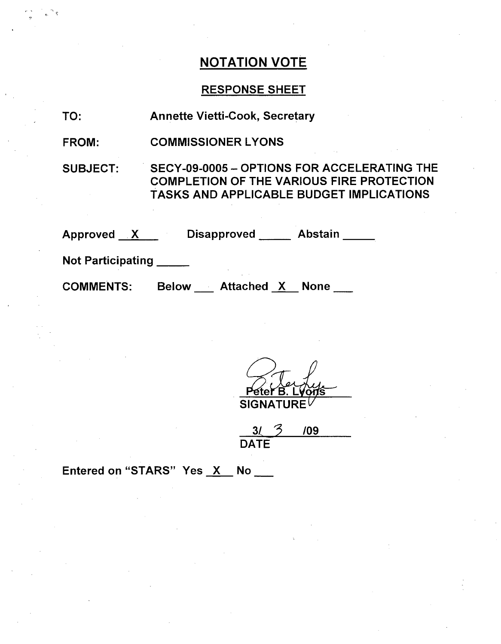## RESPONSE SHEET

| TO:                      | <b>Annette Vietti-Cook, Secretary</b>                                                                                                              |  |  |
|--------------------------|----------------------------------------------------------------------------------------------------------------------------------------------------|--|--|
| FROM:                    | <b>COMMISSIONER LYONS</b>                                                                                                                          |  |  |
| <b>SUBJECT:</b>          | SECY-09-0005 - OPTIONS FOR ACCELERATING THE<br><b>COMPLETION OF THE VARIOUS FIRE PROTECTION</b><br><b>TASKS AND APPLICABLE BUDGET IMPLICATIONS</b> |  |  |
| Approved X               | Disapproved Abstain                                                                                                                                |  |  |
| <b>Not Participating</b> |                                                                                                                                                    |  |  |
| <b>COMMENTS:</b>         | Below Attached X None                                                                                                                              |  |  |
|                          |                                                                                                                                                    |  |  |

eter B. Lyons **SIGI** 

|             | /09 |
|-------------|-----|
| <b>DATE</b> |     |

Entered on "STARS" Yes  $X$  No  $\frac{1}{1}$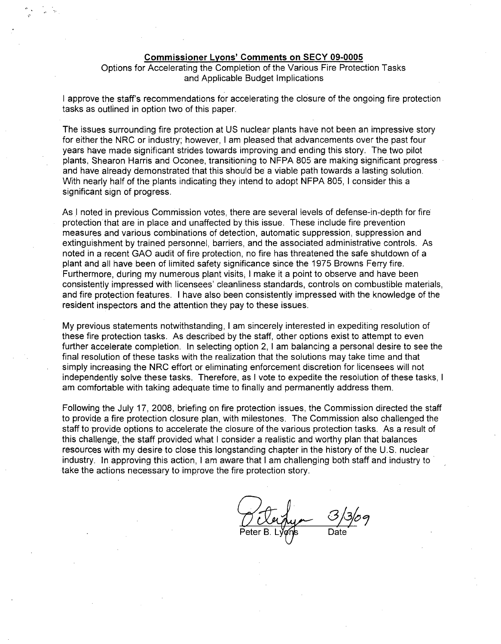#### Commissioner Lyons' Comments on **SECY 09-0005**

### Options for Accelerating the Completion of the Various Fire Protection Tasks and Applicable Budget Implications

I approve the staff's recommendations for accelerating the closure of the ongoing fire protection tasks as outlined in option two of this paper.

The issues surrounding fire protection at US nuclear plants have not been an impressive story for either the NRC or industry; however, I am pleased that advancements over the past four years have made significant strides towards improving and ending this story. The two pilot plants, Shearon Harris and Oconee, transitioning to NFPA 805 are making significant progress and have already demonstrated that this should be a viable path towards a lasting solution. With nearly half of the plants indicating they intend to adopt NFPA 805, I consider this a significant sign of progress.

As I noted in previous Commission votes, there are several levels of defense-in-depth for fire protection that are in place and unaffected by this issue. These include fire prevention measures and various combinations of detection, automatic suppression, suppression and extinguishment by trained personnel, barriers, and the associated administrative controls. As noted in a recent GAO audit of fire protection, no fire has threatened the safe shutdown of a plant and all have been of limited safety significance since the 1975 Browns Ferry fire. Furthermore, during my numerous plant visits, I make it a point to observe and have been consistently impressed with licensees' cleanliness standards, controls on combustible materials, and fire protection features. I have also been consistently impressed with the knowledge of the resident inspectors and the attention they pay to these issues.

My previous statements notwithstanding, I am sincerely interested in expediting resolution of these fire protection tasks. As described by the staff, other options exist to attempt to even further accelerate completion. In selecting option 2, I am balancing a personal desire to see the final resolution of these tasks with the realization that the solutions may take time and that simply increasing the NRC effort or eliminating enforcement discretion for licensees will not independently solve these tasks. Therefore, as I vote to expedite the resolution of these tasks, I am comfortable with taking adequate time to finally and permanently address them.

Following the July 17, 2008, briefing on fire protection issues, the Commission directed the staff to provide a fire protection closure plan, with milestones. The Commission also challenged the staff to provide options to accelerate the closure of the various protection tasks. As a result of this challenge, the staff provided what I consider a realistic and worthy plan that balances resources with my desire to close this longstanding chapter in the history of the U.S. nuclear industry. In approving this action, I am aware that I am challenging both staff and industry to take the actions necessary to improve the fire protection story.

Peter B. Lyons Date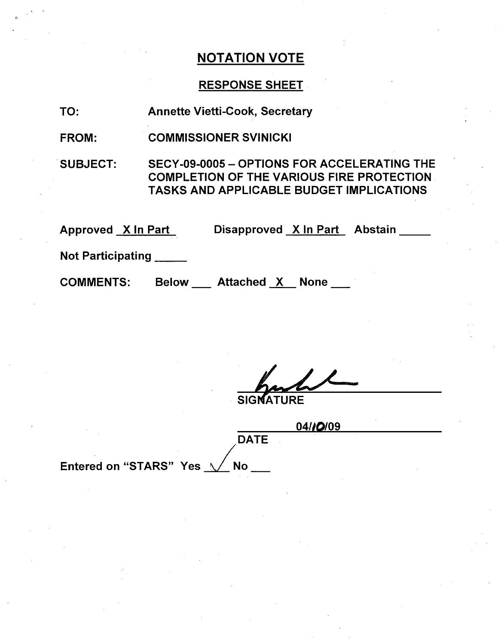### RESPONSE SHEET

TO: Annette Vietti-Cook, Secretary

FROM: COMMISSIONER SVINICKI

SUBJECT: SECY-09-0005 - OPTIONS FOR ACCELERATING THE COMPLETION OF THE VARIOUS FIRE PROTECTION TASKS AND APPLICABLE BUDGET IMPLICATIONS

Approved X In Part Disapproved X In Part Abstain

Not Participating **\_**

**COMMENTS:** Attached X None

SIGI

|                                               | 04/10/09 |
|-----------------------------------------------|----------|
| <b>DATE</b>                                   |          |
| $\sim$                                        |          |
| Entered on "STARS" Yes $\sqrt{}$<br><b>No</b> |          |